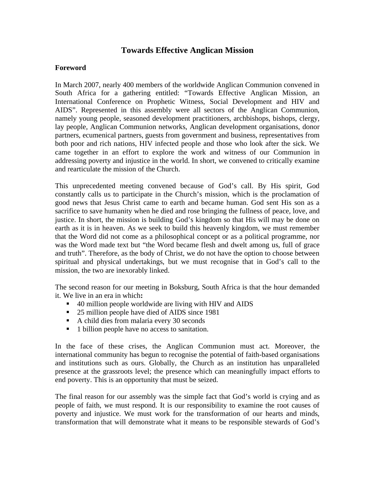### **Towards Effective Anglican Mission**

#### **Foreword**

In March 2007, nearly 400 members of the worldwide Anglican Communion convened in South Africa for a gathering entitled: "Towards Effective Anglican Mission, an International Conference on Prophetic Witness, Social Development and HIV and AIDS". Represented in this assembly were all sectors of the Anglican Communion, namely young people, seasoned development practitioners, archbishops, bishops, clergy, lay people, Anglican Communion networks, Anglican development organisations, donor partners, ecumenical partners, guests from government and business, representatives from both poor and rich nations, HIV infected people and those who look after the sick. We came together in an effort to explore the work and witness of our Communion in addressing poverty and injustice in the world. In short, we convened to critically examine and rearticulate the mission of the Church.

This unprecedented meeting convened because of God's call. By His spirit, God constantly calls us to participate in the Church's mission, which is the proclamation of good news that Jesus Christ came to earth and became human. God sent His son as a sacrifice to save humanity when he died and rose bringing the fullness of peace, love, and justice. In short, the mission is building God's kingdom so that His will may be done on earth as it is in heaven. As we seek to build this heavenly kingdom, we must remember that the Word did not come as a philosophical concept or as a political programme, nor was the Word made text but "the Word became flesh and dwelt among us, full of grace and truth". Therefore, as the body of Christ, we do not have the option to choose between spiritual and physical undertakings, but we must recognise that in God's call to the mission, the two are inexorably linked.

The second reason for our meeting in Boksburg, South Africa is that the hour demanded it. We live in an era in which**:**

- 40 million people worldwide are living with HIV and AIDS
- 25 million people have died of AIDS since 1981
- A child dies from malaria every 30 seconds
- 1 billion people have no access to sanitation.

In the face of these crises, the Anglican Communion must act. Moreover, the international community has begun to recognise the potential of faith-based organisations and institutions such as ours. Globally, the Church as an institution has unparalleled presence at the grassroots level; the presence which can meaningfully impact efforts to end poverty. This is an opportunity that must be seized.

The final reason for our assembly was the simple fact that God's world is crying and as people of faith, we must respond. It is our responsibility to examine the root causes of poverty and injustice. We must work for the transformation of our hearts and minds, transformation that will demonstrate what it means to be responsible stewards of God's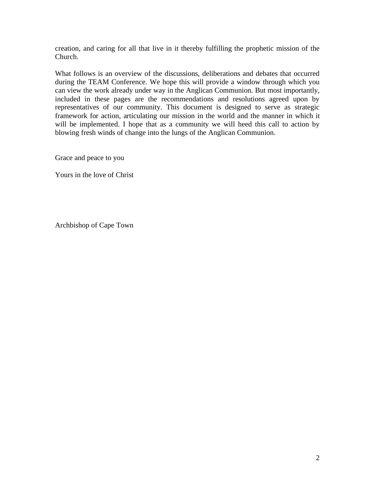creation, and caring for all that live in it thereby fulfilling the prophetic mission of the Church.

What follows is an overview of the discussions, deliberations and debates that occurred during the TEAM Conference. We hope this will provide a window through which you can view the work already under way in the Anglican Communion. But most importantly, included in these pages are the recommendations and resolutions agreed upon by representatives of our community. This document is designed to serve as strategic framework for action, articulating our mission in the world and the manner in which it will be implemented. I hope that as a community we will heed this call to action by blowing fresh winds of change into the lungs of the Anglican Communion.

Grace and peace to you

Yours in the love of Christ

Archbishop of Cape Town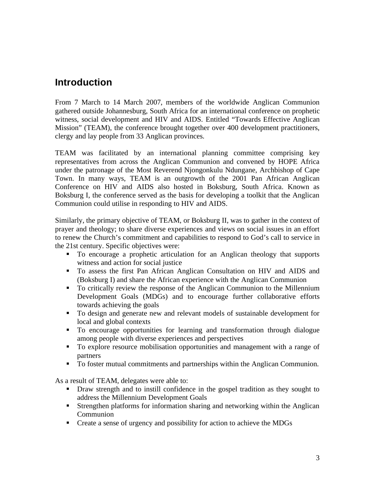# **Introduction**

From 7 March to 14 March 2007, members of the worldwide Anglican Communion gathered outside Johannesburg, South Africa for an international conference on prophetic witness, social development and HIV and AIDS. Entitled "Towards Effective Anglican Mission" (TEAM), the conference brought together over 400 development practitioners, clergy and lay people from 33 Anglican provinces.

TEAM was facilitated by an international planning committee comprising key representatives from across the Anglican Communion and convened by HOPE Africa under the patronage of the Most Reverend Njongonkulu Ndungane, Archbishop of Cape Town. In many ways, TEAM is an outgrowth of the 2001 Pan African Anglican Conference on HIV and AIDS also hosted in Boksburg, South Africa. Known as Boksburg I, the conference served as the basis for developing a toolkit that the Anglican Communion could utilise in responding to HIV and AIDS.

Similarly, the primary objective of TEAM, or Boksburg II, was to gather in the context of prayer and theology; to share diverse experiences and views on social issues in an effort to renew the Church's commitment and capabilities to respond to God's call to service in the 21st century. Specific objectives were:

- To encourage a prophetic articulation for an Anglican theology that supports witness and action for social justice
- To assess the first Pan African Anglican Consultation on HIV and AIDS and (Boksburg I) and share the African experience with the Anglican Communion
- To critically review the response of the Anglican Communion to the Millennium Development Goals (MDGs) and to encourage further collaborative efforts towards achieving the goals
- To design and generate new and relevant models of sustainable development for local and global contexts
- To encourage opportunities for learning and transformation through dialogue among people with diverse experiences and perspectives
- To explore resource mobilisation opportunities and management with a range of partners
- To foster mutual commitments and partnerships within the Anglican Communion.

As a result of TEAM, delegates were able to:

- Draw strength and to instill confidence in the gospel tradition as they sought to address the Millennium Development Goals
- Strengthen platforms for information sharing and networking within the Anglican Communion
- Create a sense of urgency and possibility for action to achieve the MDGs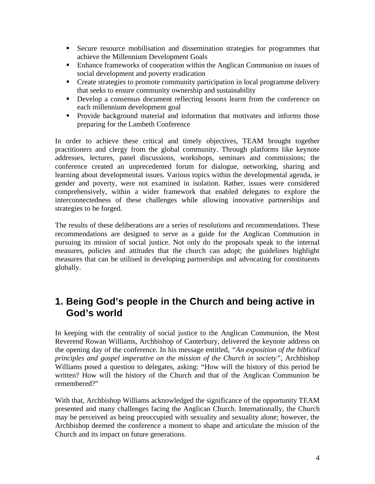- Secure resource mobilisation and dissemination strategies for programmes that achieve the Millennium Development Goals
- **Enhance frameworks of cooperation within the Anglican Communion on issues of** social development and poverty eradication
- **EXECRE** Create strategies to promote community participation in local programme delivery that seeks to ensure community ownership and sustainability
- Develop a consensus document reflecting lessons learnt from the conference on each millennium development goal
- **Provide background material and information that motivates and informs those** preparing for the Lambeth Conference

In order to achieve these critical and timely objectives, TEAM brought together practitioners and clergy from the global community. Through platforms like keynote addresses, lectures, panel discussions, workshops, seminars and commissions; the conference created an unprecedented forum for dialogue, networking, sharing and learning about developmental issues. Various topics within the developmental agenda, ie gender and poverty, were not examined in isolation. Rather, issues were considered comprehensively, within a wider framework that enabled delegates to explore the interconnectedness of these challenges while allowing innovative partnerships and strategies to be forged.

The results of these deliberations are a series of resolutions and recommendations. These recommendations are designed to serve as a guide for the Anglican Communion in pursuing its mission of social justice. Not only do the proposals speak to the internal measures, policies and attitudes that the church can adopt; the guidelines highlight measures that can be utilised in developing partnerships and advocating for constituents globally.

# **1. Being God's people in the Church and being active in God's world**

In keeping with the centrality of social justice to the Anglican Communion, the Most Reverend Rowan Williams, Archbishop of Canterbury, delivered the keynote address on the opening day of the conference. In his message entitled, *"An exposition of the biblical principles and gospel imperative on the mission of the Church in society",* Archbishop Williams posed a question to delegates, asking: "How will the history of this period be written? How will the history of the Church and that of the Anglican Communion be remembered?"

With that, Archbishop Williams acknowledged the significance of the opportunity TEAM presented and many challenges facing the Anglican Church. Internationally, the Church may be perceived as being preoccupied with sexuality and sexuality alone; however, the Archbishop deemed the conference a moment to shape and articulate the mission of the Church and its impact on future generations.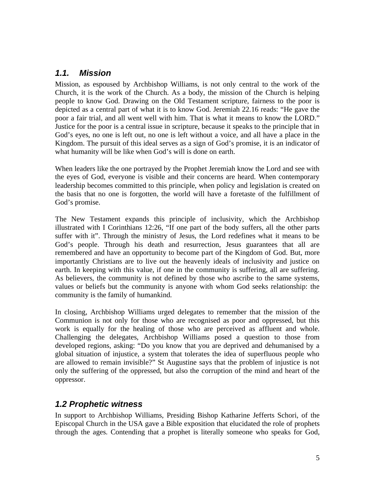## *1.1. Mission*

Mission, as espoused by Archbishop Williams, is not only central to the work of the Church, it is the work of the Church. As a body, the mission of the Church is helping people to know God. Drawing on the Old Testament scripture, fairness to the poor is depicted as a central part of what it is to know God. Jeremiah 22.16 reads: "He gave the poor a fair trial, and all went well with him. That is what it means to know the LORD." Justice for the poor is a central issue in scripture, because it speaks to the principle that in God's eyes, no one is left out, no one is left without a voice, and all have a place in the Kingdom. The pursuit of this ideal serves as a sign of God's promise, it is an indicator of what humanity will be like when God's will is done on earth.

When leaders like the one portrayed by the Prophet Jeremiah know the Lord and see with the eyes of God, everyone is visible and their concerns are heard. When contemporary leadership becomes committed to this principle, when policy and legislation is created on the basis that no one is forgotten, the world will have a foretaste of the fulfillment of God's promise.

The New Testament expands this principle of inclusivity, which the Archbishop illustrated with I Corinthians 12:26, "If one part of the body suffers, all the other parts suffer with it". Through the ministry of Jesus, the Lord redefines what it means to be God's people. Through his death and resurrection, Jesus guarantees that all are remembered and have an opportunity to become part of the Kingdom of God. But, more importantly Christians are to live out the heavenly ideals of inclusivity and justice on earth. In keeping with this value, if one in the community is suffering, all are suffering. As believers, the community is not defined by those who ascribe to the same systems, values or beliefs but the community is anyone with whom God seeks relationship: the community is the family of humankind.

In closing, Archbishop Williams urged delegates to remember that the mission of the Communion is not only for those who are recognised as poor and oppressed, but this work is equally for the healing of those who are perceived as affluent and whole. Challenging the delegates, Archbishop Williams posed a question to those from developed regions, asking: "Do you know that you are deprived and dehumanised by a global situation of injustice, a system that tolerates the idea of superfluous people who are allowed to remain invisible?" St Augustine says that the problem of injustice is not only the suffering of the oppressed, but also the corruption of the mind and heart of the oppressor.

## *1.2 Prophetic witness*

In support to Archbishop Williams, Presiding Bishop Katharine Jefferts Schori, of the Episcopal Church in the USA gave a Bible exposition that elucidated the role of prophets through the ages. Contending that a prophet is literally someone who speaks for God,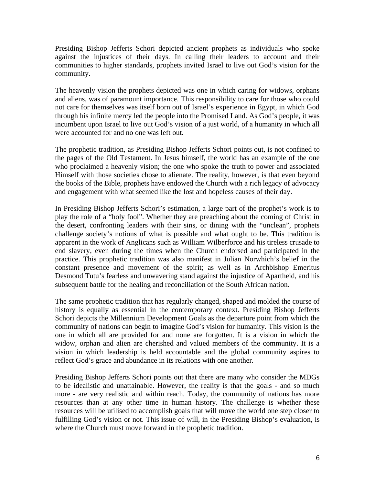Presiding Bishop Jefferts Schori depicted ancient prophets as individuals who spoke against the injustices of their days. In calling their leaders to account and their communities to higher standards, prophets invited Israel to live out God's vision for the community.

The heavenly vision the prophets depicted was one in which caring for widows, orphans and aliens, was of paramount importance. This responsibility to care for those who could not care for themselves was itself born out of Israel's experience in Egypt, in which God through his infinite mercy led the people into the Promised Land. As God's people, it was incumbent upon Israel to live out God's vision of a just world, of a humanity in which all were accounted for and no one was left out.

The prophetic tradition, as Presiding Bishop Jefferts Schori points out, is not confined to the pages of the Old Testament. In Jesus himself, the world has an example of the one who proclaimed a heavenly vision; the one who spoke the truth to power and associated Himself with those societies chose to alienate. The reality, however, is that even beyond the books of the Bible, prophets have endowed the Church with a rich legacy of advocacy and engagement with what seemed like the lost and hopeless causes of their day.

In Presiding Bishop Jefferts Schori's estimation, a large part of the prophet's work is to play the role of a "holy fool". Whether they are preaching about the coming of Christ in the desert, confronting leaders with their sins, or dining with the "unclean", prophets challenge society's notions of what is possible and what ought to be. This tradition is apparent in the work of Anglicans such as William Wilberforce and his tireless crusade to end slavery, even during the times when the Church endorsed and participated in the practice. This prophetic tradition was also manifest in Julian Norwhich's belief in the constant presence and movement of the spirit; as well as in Archbishop Emeritus Desmond Tutu's fearless and unwavering stand against the injustice of Apartheid, and his subsequent battle for the healing and reconciliation of the South African nation.

The same prophetic tradition that has regularly changed, shaped and molded the course of history is equally as essential in the contemporary context. Presiding Bishop Jefferts Schori depicts the Millennium Development Goals as the departure point from which the community of nations can begin to imagine God's vision for humanity. This vision is the one in which all are provided for and none are forgotten. It is a vision in which the widow, orphan and alien are cherished and valued members of the community. It is a vision in which leadership is held accountable and the global community aspires to reflect God's grace and abundance in its relations with one another.

Presiding Bishop Jefferts Schori points out that there are many who consider the MDGs to be idealistic and unattainable. However, the reality is that the goals - and so much more - are very realistic and within reach. Today, the community of nations has more resources than at any other time in human history. The challenge is whether these resources will be utilised to accomplish goals that will move the world one step closer to fulfilling God's vision or not. This issue of will, in the Presiding Bishop's evaluation, is where the Church must move forward in the prophetic tradition.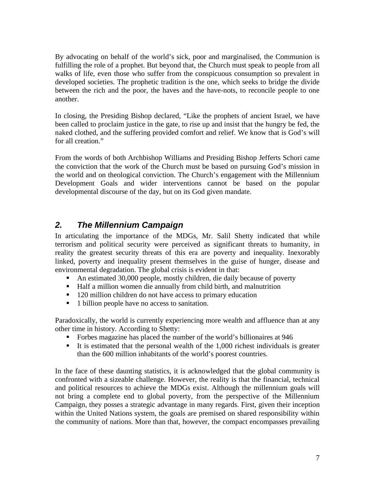By advocating on behalf of the world's sick, poor and marginalised, the Communion is fulfilling the role of a prophet. But beyond that, the Church must speak to people from all walks of life, even those who suffer from the conspicuous consumption so prevalent in developed societies. The prophetic tradition is the one, which seeks to bridge the divide between the rich and the poor, the haves and the have-nots, to reconcile people to one another.

In closing, the Presiding Bishop declared, "Like the prophets of ancient Israel, we have been called to proclaim justice in the gate, to rise up and insist that the hungry be fed, the naked clothed, and the suffering provided comfort and relief. We know that is God's will for all creation."

From the words of both Archbishop Williams and Presiding Bishop Jefferts Schori came the conviction that the work of the Church must be based on pursuing God's mission in the world and on theological conviction. The Church's engagement with the Millennium Development Goals and wider interventions cannot be based on the popular developmental discourse of the day, but on its God given mandate.

## *2. The Millennium Campaign*

In articulating the importance of the MDGs, Mr. Salil Shetty indicated that while terrorism and political security were perceived as significant threats to humanity, in reality the greatest security threats of this era are poverty and inequality. Inexorably linked, poverty and inequality present themselves in the guise of hunger, disease and environmental degradation. The global crisis is evident in that:

- An estimated 30,000 people, mostly children, die daily because of poverty
- Half a million women die annually from child birth, and malnutrition
- 120 million children do not have access to primary education
- 1 billion people have no access to sanitation.

Paradoxically, the world is currently experiencing more wealth and affluence than at any other time in history. According to Shetty:

- Forbes magazine has placed the number of the world's billionaires at 946
- It is estimated that the personal wealth of the  $1,000$  richest individuals is greater than the 600 million inhabitants of the world's poorest countries.

In the face of these daunting statistics, it is acknowledged that the global community is confronted with a sizeable challenge. However, the reality is that the financial, technical and political resources to achieve the MDGs exist. Although the millennium goals will not bring a complete end to global poverty, from the perspective of the Millennium Campaign, they posses a strategic advantage in many regards. First, given their inception within the United Nations system, the goals are premised on shared responsibility within the community of nations. More than that, however, the compact encompasses prevailing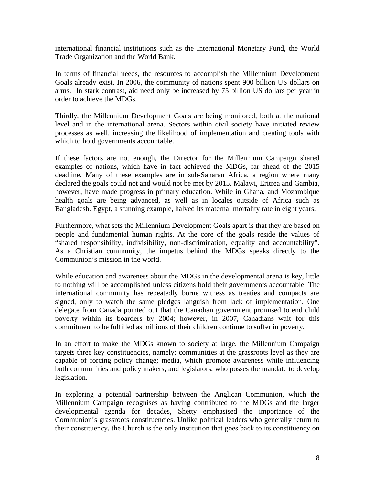international financial institutions such as the International Monetary Fund, the World Trade Organization and the World Bank.

In terms of financial needs, the resources to accomplish the Millennium Development Goals already exist. In 2006, the community of nations spent 900 billion US dollars on arms. In stark contrast, aid need only be increased by 75 billion US dollars per year in order to achieve the MDGs.

Thirdly, the Millennium Development Goals are being monitored, both at the national level and in the international arena. Sectors within civil society have initiated review processes as well, increasing the likelihood of implementation and creating tools with which to hold governments accountable.

If these factors are not enough, the Director for the Millennium Campaign shared examples of nations, which have in fact achieved the MDGs, far ahead of the 2015 deadline. Many of these examples are in sub-Saharan Africa, a region where many declared the goals could not and would not be met by 2015. Malawi, Eritrea and Gambia, however, have made progress in primary education. While in Ghana, and Mozambique health goals are being advanced, as well as in locales outside of Africa such as Bangladesh. Egypt, a stunning example, halved its maternal mortality rate in eight years.

Furthermore, what sets the Millennium Development Goals apart is that they are based on people and fundamental human rights. At the core of the goals reside the values of "shared responsibility, indivisibility, non-discrimination, equality and accountability". As a Christian community, the impetus behind the MDGs speaks directly to the Communion's mission in the world.

While education and awareness about the MDGs in the developmental arena is key, little to nothing will be accomplished unless citizens hold their governments accountable. The international community has repeatedly borne witness as treaties and compacts are signed, only to watch the same pledges languish from lack of implementation. One delegate from Canada pointed out that the Canadian government promised to end child poverty within its boarders by 2004; however, in 2007, Canadians wait for this commitment to be fulfilled as millions of their children continue to suffer in poverty.

In an effort to make the MDGs known to society at large, the Millennium Campaign targets three key constituencies, namely: communities at the grassroots level as they are capable of forcing policy change; media, which promote awareness while influencing both communities and policy makers; and legislators, who posses the mandate to develop legislation.

In exploring a potential partnership between the Anglican Communion, which the Millennium Campaign recognises as having contributed to the MDGs and the larger developmental agenda for decades, Shetty emphasised the importance of the Communion's grassroots constituencies. Unlike political leaders who generally return to their constituency, the Church is the only institution that goes back to its constituency on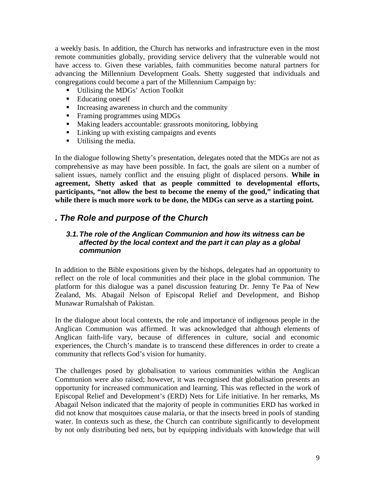a weekly basis. In addition, the Church has networks and infrastructure even in the most remote communities globally, providing service delivery that the vulnerable would not have access to. Given these variables, faith communities become natural partners for advancing the Millennium Development Goals. Shetty suggested that individuals and congregations could become a part of the Millennium Campaign by:

- Utilising the MDGs' Action Toolkit
- Educating oneself
- Increasing awareness in church and the community
- Framing programmes using MDGs
- Making leaders accountable: grassroots monitoring, lobbying
- Linking up with existing campaigns and events
- Utilising the media.

In the dialogue following Shetty's presentation, delegates noted that the MDGs are not as comprehensive as may have been possible. In fact, the goals are silent on a number of salient issues, namely conflict and the ensuing plight of displaced persons. **While in agreement, Shetty asked that as people committed to developmental efforts, participants, "not allow the best to become the enemy of the good," indicating that while there is much more work to be done, the MDGs can serve as a starting point.** 

## *. The Role and purpose of the Church*

### *3.1. The role of the Anglican Communion and how its witness can be affected by the local context and the part it can play as a global communion*

In addition to the Bible expositions given by the bishops, delegates had an opportunity to reflect on the role of local communities and their place in the global communion. The platform for this dialogue was a panel discussion featuring Dr. Jenny Te Paa of New Zealand, Ms. Abagail Nelson of Episcopal Relief and Development, and Bishop Munawar Rumalshah of Pakistan.

In the dialogue about local contexts, the role and importance of indigenous people in the Anglican Communion was affirmed. It was acknowledged that although elements of Anglican faith-life vary, because of differences in culture, social and economic experiences, the Church's mandate is to transcend these differences in order to create a community that reflects God's vision for humanity.

The challenges posed by globalisation to various communities within the Anglican Communion were also raised; however, it was recognised that globalisation presents an opportunity for increased communication and learning. This was reflected in the work of Episcopal Relief and Development's (ERD) Nets for Life initiative. In her remarks, Ms Abagail Nelson indicated that the majority of people in communities ERD has worked in did not know that mosquitoes cause malaria, or that the insects breed in pools of standing water. In contexts such as these, the Church can contribute significantly to development by not only distributing bed nets, but by equipping individuals with knowledge that will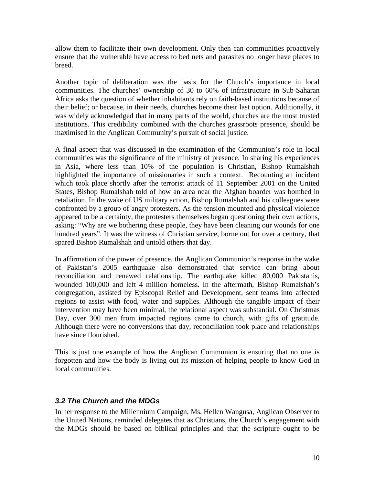allow them to facilitate their own development. Only then can communities proactively ensure that the vulnerable have access to bed nets and parasites no longer have places to breed.

Another topic of deliberation was the basis for the Church's importance in local communities. The churches' ownership of 30 to 60% of infrastructure in Sub-Saharan Africa asks the question of whether inhabitants rely on faith-based institutions because of their belief; or because, in their needs, churches become their last option. Additionally, it was widely acknowledged that in many parts of the world, churches are the most trusted institutions. This credibility combined with the churches grassroots presence, should be maximised in the Anglican Community's pursuit of social justice.

A final aspect that was discussed in the examination of the Communion's role in local communities was the significance of the ministry of presence. In sharing his experiences in Asia, where less than 10% of the population is Christian, Bishop Rumalshah highlighted the importance of missionaries in such a context. Recounting an incident which took place shortly after the terrorist attack of 11 September 2001 on the United States, Bishop Rumalshah told of how an area near the Afghan boarder was bombed in retaliation. In the wake of US military action, Bishop Rumalshah and his colleagues were confronted by a group of angry protesters. As the tension mounted and physical violence appeared to be a certainty, the protesters themselves began questioning their own actions, asking: "Why are we bothering these people, they have been cleaning our wounds for one hundred years". It was the witness of Christian service, borne out for over a century, that spared Bishop Rumalshah and untold others that day.

In affirmation of the power of presence, the Anglican Communion's response in the wake of Pakistan's 2005 earthquake also demonstrated that service can bring about reconciliation and renewed relationship. The earthquake killed 80,000 Pakistanis, wounded 100,000 and left 4 million homeless. In the aftermath, Bishop Rumalshah's congregation, assisted by Episcopal Relief and Development, sent teams into affected regions to assist with food, water and supplies. Although the tangible impact of their intervention may have been minimal, the relational aspect was substantial. On Christmas Day, over 300 men from impacted regions came to church, with gifts of gratitude. Although there were no conversions that day, reconciliation took place and relationships have since flourished.

This is just one example of how the Anglican Communion is ensuring that no one is forgotten and how the body is living out its mission of helping people to know God in local communities.

### *3.2 The Church and the MDGs*

In her response to the Millennium Campaign, Ms. Hellen Wangusa, Anglican Observer to the United Nations, reminded delegates that as Christians, the Church's engagement with the MDGs should be based on biblical principles and that the scripture ought to be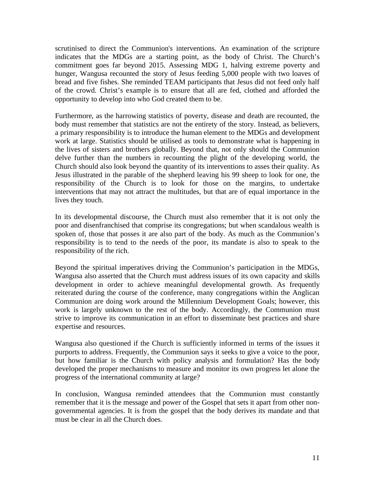scrutinised to direct the Communion's interventions. An examination of the scripture indicates that the MDGs are a starting point, as the body of Christ. The Church's commitment goes far beyond 2015. Assessing MDG 1, halving extreme poverty and hunger, Wangusa recounted the story of Jesus feeding 5,000 people with two loaves of bread and five fishes. She reminded TEAM participants that Jesus did not feed only half of the crowd. Christ's example is to ensure that all are fed, clothed and afforded the opportunity to develop into who God created them to be.

Furthermore, as the harrowing statistics of poverty, disease and death are recounted, the body must remember that statistics are not the entirety of the story. Instead, as believers, a primary responsibility is to introduce the human element to the MDGs and development work at large. Statistics should be utilised as tools to demonstrate what is happening in the lives of sisters and brothers globally. Beyond that, not only should the Communion delve further than the numbers in recounting the plight of the developing world, the Church should also look beyond the quantity of its interventions to asses their quality. As Jesus illustrated in the parable of the shepherd leaving his 99 sheep to look for one, the responsibility of the Church is to look for those on the margins, to undertake interventions that may not attract the multitudes, but that are of equal importance in the lives they touch.

In its developmental discourse, the Church must also remember that it is not only the poor and disenfranchised that comprise its congregations; but when scandalous wealth is spoken of, those that posses it are also part of the body. As much as the Communion's responsibility is to tend to the needs of the poor, its mandate is also to speak to the responsibility of the rich.

Beyond the spiritual imperatives driving the Communion's participation in the MDGs, Wangusa also asserted that the Church must address issues of its own capacity and skills development in order to achieve meaningful developmental growth. As frequently reiterated during the course of the conference, many congregations within the Anglican Communion are doing work around the Millennium Development Goals; however, this work is largely unknown to the rest of the body. Accordingly, the Communion must strive to improve its communication in an effort to disseminate best practices and share expertise and resources.

Wangusa also questioned if the Church is sufficiently informed in terms of the issues it purports to address. Frequently, the Communion says it seeks to give a voice to the poor, but how familiar is the Church with policy analysis and formulation? Has the body developed the proper mechanisms to measure and monitor its own progress let alone the progress of the international community at large?

In conclusion, Wangusa reminded attendees that the Communion must constantly remember that it is the message and power of the Gospel that sets it apart from other nongovernmental agencies. It is from the gospel that the body derives its mandate and that must be clear in all the Church does.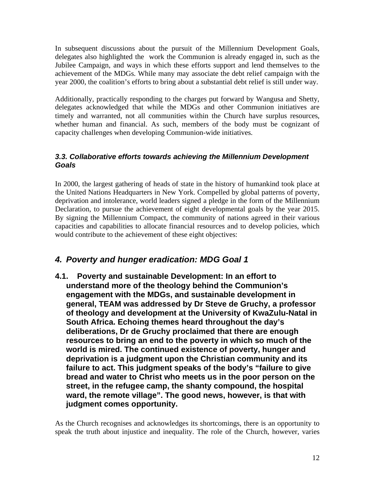In subsequent discussions about the pursuit of the Millennium Development Goals, delegates also highlighted the work the Communion is already engaged in, such as the Jubilee Campaign, and ways in which these efforts support and lend themselves to the achievement of the MDGs. While many may associate the debt relief campaign with the year 2000, the coalition's efforts to bring about a substantial debt relief is still under way.

Additionally, practically responding to the charges put forward by Wangusa and Shetty, delegates acknowledged that while the MDGs and other Communion initiatives are timely and warranted, not all communities within the Church have surplus resources, whether human and financial. As such, members of the body must be cognizant of capacity challenges when developing Communion-wide initiatives.

### *3.3. Collaborative efforts towards achieving the Millennium Development Goals*

In 2000, the largest gathering of heads of state in the history of humankind took place at the United Nations Headquarters in New York. Compelled by global patterns of poverty, deprivation and intolerance, world leaders signed a pledge in the form of the Millennium Declaration, to pursue the achievement of eight developmental goals by the year 2015. By signing the Millennium Compact, the community of nations agreed in their various capacities and capabilities to allocate financial resources and to develop policies, which would contribute to the achievement of these eight objectives:

## *4. Poverty and hunger eradication: MDG Goal 1*

**4.1. Poverty and sustainable Development: In an effort to understand more of the theology behind the Communion's engagement with the MDGs, and sustainable development in general, TEAM was addressed by Dr Steve de Gruchy, a professor of theology and development at the University of KwaZulu-Natal in South Africa. Echoing themes heard throughout the day's deliberations, Dr de Gruchy proclaimed that there are enough resources to bring an end to the poverty in which so much of the world is mired. The continued existence of poverty, hunger and deprivation is a judgment upon the Christian community and its failure to act. This judgment speaks of the body's "failure to give bread and water to Christ who meets us in the poor person on the street, in the refugee camp, the shanty compound, the hospital ward, the remote village". The good news, however, is that with judgment comes opportunity.** 

As the Church recognises and acknowledges its shortcomings, there is an opportunity to speak the truth about injustice and inequality. The role of the Church, however, varies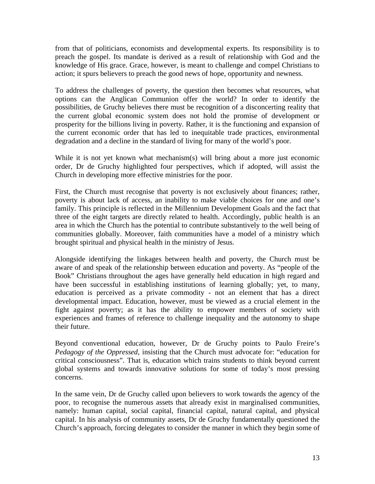from that of politicians, economists and developmental experts. Its responsibility is to preach the gospel. Its mandate is derived as a result of relationship with God and the knowledge of His grace. Grace, however, is meant to challenge and compel Christians to action; it spurs believers to preach the good news of hope, opportunity and newness.

To address the challenges of poverty, the question then becomes what resources, what options can the Anglican Communion offer the world? In order to identify the possibilities, de Gruchy believes there must be recognition of a disconcerting reality that the current global economic system does not hold the promise of development or prosperity for the billions living in poverty. Rather, it is the functioning and expansion of the current economic order that has led to inequitable trade practices, environmental degradation and a decline in the standard of living for many of the world's poor.

While it is not yet known what mechanism(s) will bring about a more just economic order, Dr de Gruchy highlighted four perspectives, which if adopted, will assist the Church in developing more effective ministries for the poor.

First, the Church must recognise that poverty is not exclusively about finances; rather, poverty is about lack of access, an inability to make viable choices for one and one's family. This principle is reflected in the Millennium Development Goals and the fact that three of the eight targets are directly related to health. Accordingly, public health is an area in which the Church has the potential to contribute substantively to the well being of communities globally. Moreover, faith communities have a model of a ministry which brought spiritual and physical health in the ministry of Jesus.

Alongside identifying the linkages between health and poverty, the Church must be aware of and speak of the relationship between education and poverty. As "people of the Book" Christians throughout the ages have generally held education in high regard and have been successful in establishing institutions of learning globally; yet, to many, education is perceived as a private commodity - not an element that has a direct developmental impact. Education, however, must be viewed as a crucial element in the fight against poverty; as it has the ability to empower members of society with experiences and frames of reference to challenge inequality and the autonomy to shape their future.

Beyond conventional education, however, Dr de Gruchy points to Paulo Freire's *Pedagogy of the Oppressed*, insisting that the Church must advocate for: "education for critical consciousness". That is, education which trains students to think beyond current global systems and towards innovative solutions for some of today's most pressing concerns.

In the same vein, Dr de Gruchy called upon believers to work towards the agency of the poor, to recognise the numerous assets that already exist in marginalised communities, namely: human capital, social capital, financial capital, natural capital, and physical capital. In his analysis of community assets, Dr de Gruchy fundamentally questioned the Church's approach, forcing delegates to consider the manner in which they begin some of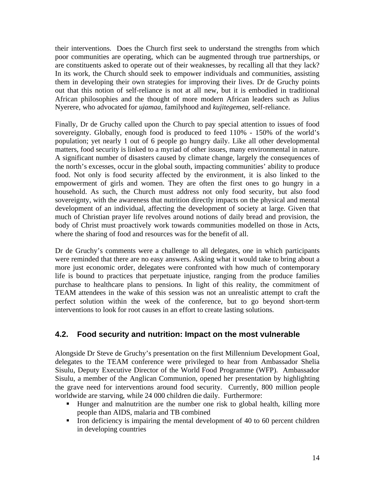their interventions. Does the Church first seek to understand the strengths from which poor communities are operating, which can be augmented through true partnerships, or are constituents asked to operate out of their weaknesses, by recalling all that they lack? In its work, the Church should seek to empower individuals and communities, assisting them in developing their own strategies for improving their lives. Dr de Gruchy points out that this notion of self-reliance is not at all new, but it is embodied in traditional African philosophies and the thought of more modern African leaders such as Julius Nyerere, who advocated for *ujamaa*, familyhood and *kujitegemea,* self-reliance.

Finally, Dr de Gruchy called upon the Church to pay special attention to issues of food sovereignty. Globally, enough food is produced to feed 110% - 150% of the world's population; yet nearly 1 out of 6 people go hungry daily. Like all other developmental matters, food security is linked to a myriad of other issues, many environmental in nature. A significant number of disasters caused by climate change, largely the consequences of the north's excesses, occur in the global south, impacting communities' ability to produce food. Not only is food security affected by the environment, it is also linked to the empowerment of girls and women. They are often the first ones to go hungry in a household. As such, the Church must address not only food security, but also food sovereignty, with the awareness that nutrition directly impacts on the physical and mental development of an individual, affecting the development of society at large. Given that much of Christian prayer life revolves around notions of daily bread and provision, the body of Christ must proactively work towards communities modelled on those in Acts, where the sharing of food and resources was for the benefit of all.

Dr de Gruchy's comments were a challenge to all delegates, one in which participants were reminded that there are no easy answers. Asking what it would take to bring about a more just economic order, delegates were confronted with how much of contemporary life is bound to practices that perpetuate injustice, ranging from the produce families purchase to healthcare plans to pensions. In light of this reality, the commitment of TEAM attendees in the wake of this session was not an unrealistic attempt to craft the perfect solution within the week of the conference, but to go beyond short-term interventions to look for root causes in an effort to create lasting solutions.

## **4.2. Food security and nutrition: Impact on the most vulnerable**

Alongside Dr Steve de Gruchy's presentation on the first Millennium Development Goal, delegates to the TEAM conference were privileged to hear from Ambassador Shelia Sisulu, Deputy Executive Director of the World Food Programme (WFP). Ambassador Sisulu, a member of the Anglican Communion, opened her presentation by highlighting the grave need for interventions around food security. Currently, 800 million people worldwide are starving, while 24 000 children die daily. Furthermore:

- Hunger and malnutrition are the number one risk to global health, killing more people than AIDS, malaria and TB combined
- Iron deficiency is impairing the mental development of 40 to 60 percent children in developing countries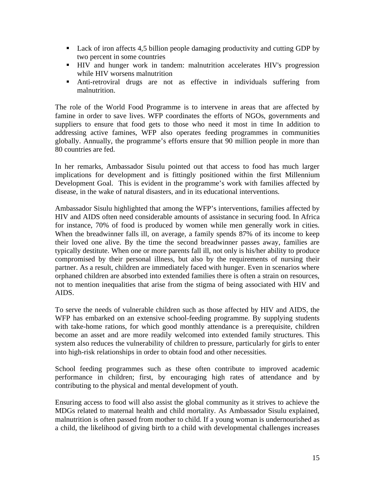- Lack of iron affects 4,5 billion people damaging productivity and cutting GDP by two percent in some countries
- HIV and hunger work in tandem: malnutrition accelerates HIV's progression while HIV worsens malnutrition
- Anti-retroviral drugs are not as effective in individuals suffering from malnutrition.

The role of the World Food Programme is to intervene in areas that are affected by famine in order to save lives. WFP coordinates the efforts of NGOs, governments and suppliers to ensure that food gets to those who need it most in time In addition to addressing active famines, WFP also operates feeding programmes in communities globally. Annually, the programme's efforts ensure that 90 million people in more than 80 countries are fed.

In her remarks, Ambassador Sisulu pointed out that access to food has much larger implications for development and is fittingly positioned within the first Millennium Development Goal. This is evident in the programme's work with families affected by disease, in the wake of natural disasters, and in its educational interventions.

Ambassador Sisulu highlighted that among the WFP's interventions, families affected by HIV and AIDS often need considerable amounts of assistance in securing food. In Africa for instance, 70% of food is produced by women while men generally work in cities. When the breadwinner falls ill, on average, a family spends 87% of its income to keep their loved one alive. By the time the second breadwinner passes away, families are typically destitute. When one or more parents fall ill, not only is his/her ability to produce compromised by their personal illness, but also by the requirements of nursing their partner. As a result, children are immediately faced with hunger. Even in scenarios where orphaned children are absorbed into extended families there is often a strain on resources, not to mention inequalities that arise from the stigma of being associated with HIV and AIDS.

To serve the needs of vulnerable children such as those affected by HIV and AIDS, the WFP has embarked on an extensive school-feeding programme. By supplying students with take-home rations, for which good monthly attendance is a prerequisite, children become an asset and are more readily welcomed into extended family structures. This system also reduces the vulnerability of children to pressure, particularly for girls to enter into high-risk relationships in order to obtain food and other necessities.

School feeding programmes such as these often contribute to improved academic performance in children; first, by encouraging high rates of attendance and by contributing to the physical and mental development of youth.

Ensuring access to food will also assist the global community as it strives to achieve the MDGs related to maternal health and child mortality. As Ambassador Sisulu explained, malnutrition is often passed from mother to child. If a young woman is undernourished as a child, the likelihood of giving birth to a child with developmental challenges increases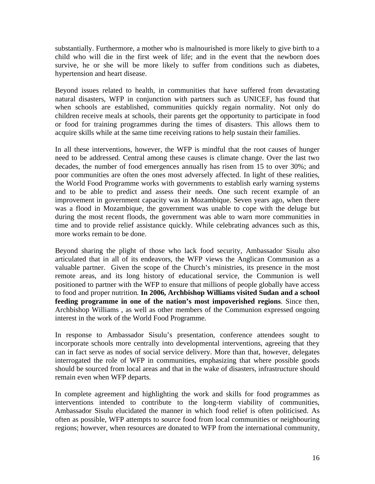substantially. Furthermore, a mother who is malnourished is more likely to give birth to a child who will die in the first week of life; and in the event that the newborn does survive, he or she will be more likely to suffer from conditions such as diabetes, hypertension and heart disease.

Beyond issues related to health, in communities that have suffered from devastating natural disasters, WFP in conjunction with partners such as UNICEF, has found that when schools are established, communities quickly regain normality. Not only do children receive meals at schools, their parents get the opportunity to participate in food or food for training programmes during the times of disasters. This allows them to acquire skills while at the same time receiving rations to help sustain their families.

In all these interventions, however, the WFP is mindful that the root causes of hunger need to be addressed. Central among these causes is climate change. Over the last two decades, the number of food emergences annually has risen from 15 to over 30%; and poor communities are often the ones most adversely affected. In light of these realities, the World Food Programme works with governments to establish early warning systems and to be able to predict and assess their needs. One such recent example of an improvement in government capacity was in Mozambique. Seven years ago, when there was a flood in Mozambique, the government was unable to cope with the deluge but during the most recent floods, the government was able to warn more communities in time and to provide relief assistance quickly. While celebrating advances such as this, more works remain to be done.

Beyond sharing the plight of those who lack food security, Ambassador Sisulu also articulated that in all of its endeavors, the WFP views the Anglican Communion as a valuable partner. Given the scope of the Church's ministries, its presence in the most remote areas, and its long history of educational service, the Communion is well positioned to partner with the WFP to ensure that millions of people globally have access to food and proper nutrition. **In 2006, Archbishop Williams visited Sudan and a school feeding programme in one of the nation's most impoverished regions**. Since then, Archbishop Williams , as well as other members of the Communion expressed ongoing interest in the work of the World Food Programme.

In response to Ambassador Sisulu's presentation, conference attendees sought to incorporate schools more centrally into developmental interventions, agreeing that they can in fact serve as nodes of social service delivery. More than that, however, delegates interrogated the role of WFP in communities, emphasizing that where possible goods should be sourced from local areas and that in the wake of disasters, infrastructure should remain even when WFP departs.

In complete agreement and highlighting the work and skills for food programmes as interventions intended to contribute to the long-term viability of communities, Ambassador Sisulu elucidated the manner in which food relief is often politicised. As often as possible, WFP attempts to source food from local communities or neighbouring regions; however, when resources are donated to WFP from the international community,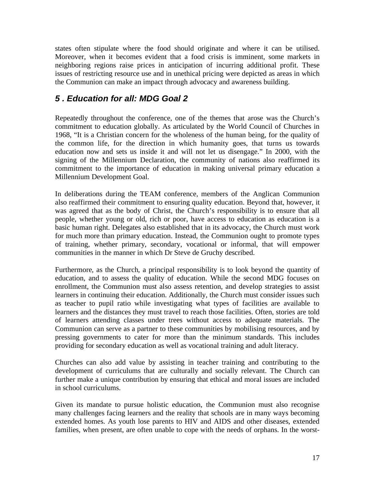states often stipulate where the food should originate and where it can be utilised. Moreover, when it becomes evident that a food crisis is imminent, some markets in neighboring regions raise prices in anticipation of incurring additional profit. These issues of restricting resource use and in unethical pricing were depicted as areas in which the Communion can make an impact through advocacy and awareness building.

## *5 . Education for all: MDG Goal 2*

Repeatedly throughout the conference, one of the themes that arose was the Church's commitment to education globally. As articulated by the World Council of Churches in 1968, "It is a Christian concern for the wholeness of the human being, for the quality of the common life, for the direction in which humanity goes, that turns us towards education now and sets us inside it and will not let us disengage." In 2000, with the signing of the Millennium Declaration, the community of nations also reaffirmed its commitment to the importance of education in making universal primary education a Millennium Development Goal.

In deliberations during the TEAM conference, members of the Anglican Communion also reaffirmed their commitment to ensuring quality education. Beyond that, however, it was agreed that as the body of Christ, the Church's responsibility is to ensure that all people, whether young or old, rich or poor, have access to education as education is a basic human right. Delegates also established that in its advocacy, the Church must work for much more than primary education. Instead, the Communion ought to promote types of training, whether primary, secondary, vocational or informal, that will empower communities in the manner in which Dr Steve de Gruchy described.

Furthermore, as the Church, a principal responsibility is to look beyond the quantity of education, and to assess the quality of education. While the second MDG focuses on enrollment, the Communion must also assess retention, and develop strategies to assist learners in continuing their education. Additionally, the Church must consider issues such as teacher to pupil ratio while investigating what types of facilities are available to learners and the distances they must travel to reach those facilities. Often, stories are told of learners attending classes under trees without access to adequate materials. The Communion can serve as a partner to these communities by mobilising resources, and by pressing governments to cater for more than the minimum standards. This includes providing for secondary education as well as vocational training and adult literacy.

Churches can also add value by assisting in teacher training and contributing to the development of curriculums that are culturally and socially relevant. The Church can further make a unique contribution by ensuring that ethical and moral issues are included in school curriculums.

Given its mandate to pursue holistic education, the Communion must also recognise many challenges facing learners and the reality that schools are in many ways becoming extended homes. As youth lose parents to HIV and AIDS and other diseases, extended families, when present, are often unable to cope with the needs of orphans. In the worst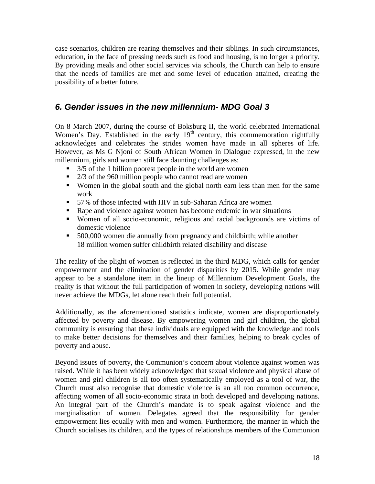case scenarios, children are rearing themselves and their siblings. In such circumstances, education, in the face of pressing needs such as food and housing, is no longer a priority. By providing meals and other social services via schools, the Church can help to ensure that the needs of families are met and some level of education attained, creating the possibility of a better future.

## *6. Gender issues in the new millennium- MDG Goal 3*

On 8 March 2007, during the course of Boksburg II, the world celebrated International Women's Day. Established in the early  $19<sup>th</sup>$  century, this commemoration rightfully acknowledges and celebrates the strides women have made in all spheres of life. However, as Ms G Njoni of South African Women in Dialogue expressed, in the new millennium, girls and women still face daunting challenges as:

- $\blacksquare$  3/5 of the 1 billion poorest people in the world are women
- $\approx$  2/3 of the 960 million people who cannot read are women
- Women in the global south and the global north earn less than men for the same work
- 57% of those infected with HIV in sub-Saharan Africa are women
- Rape and violence against women has become endemic in war situations
- Women of all socio-economic, religious and racial backgrounds are victims of domestic violence
- 500,000 women die annually from pregnancy and childbirth; while another 18 million women suffer childbirth related disability and disease

The reality of the plight of women is reflected in the third MDG, which calls for gender empowerment and the elimination of gender disparities by 2015. While gender may appear to be a standalone item in the lineup of Millennium Development Goals, the reality is that without the full participation of women in society, developing nations will never achieve the MDGs, let alone reach their full potential.

Additionally, as the aforementioned statistics indicate, women are disproportionately affected by poverty and disease. By empowering women and girl children, the global community is ensuring that these individuals are equipped with the knowledge and tools to make better decisions for themselves and their families, helping to break cycles of poverty and abuse.

Beyond issues of poverty, the Communion's concern about violence against women was raised. While it has been widely acknowledged that sexual violence and physical abuse of women and girl children is all too often systematically employed as a tool of war, the Church must also recognise that domestic violence is an all too common occurrence, affecting women of all socio-economic strata in both developed and developing nations. An integral part of the Church's mandate is to speak against violence and the marginalisation of women. Delegates agreed that the responsibility for gender empowerment lies equally with men and women. Furthermore, the manner in which the Church socialises its children, and the types of relationships members of the Communion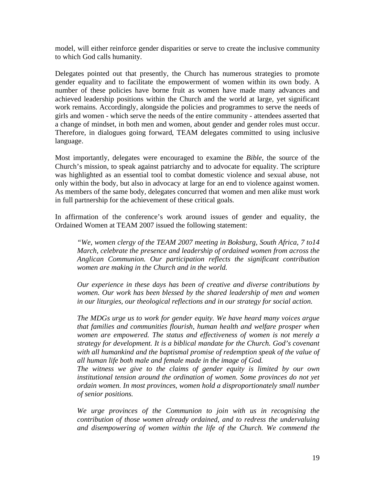model, will either reinforce gender disparities or serve to create the inclusive community to which God calls humanity.

Delegates pointed out that presently, the Church has numerous strategies to promote gender equality and to facilitate the empowerment of women within its own body. A number of these policies have borne fruit as women have made many advances and achieved leadership positions within the Church and the world at large, yet significant work remains. Accordingly, alongside the policies and programmes to serve the needs of girls and women - which serve the needs of the entire community - attendees asserted that a change of mindset, in both men and women, about gender and gender roles must occur. Therefore, in dialogues going forward, TEAM delegates committed to using inclusive language.

Most importantly, delegates were encouraged to examine the *Bible*, the source of the Church's mission, to speak against patriarchy and to advocate for equality. The scripture was highlighted as an essential tool to combat domestic violence and sexual abuse, not only within the body, but also in advocacy at large for an end to violence against women. As members of the same body, delegates concurred that women and men alike must work in full partnership for the achievement of these critical goals.

In affirmation of the conference's work around issues of gender and equality, the Ordained Women at TEAM 2007 issued the following statement:

*"We, women clergy of the TEAM 2007 meeting in Boksburg, South Africa, 7 to14 March, celebrate the presence and leadership of ordained women from across the Anglican Communion. Our participation reflects the significant contribution women are making in the Church and in the world.* 

*Our experience in these days has been of creative and diverse contributions by women. Our work has been blessed by the shared leadership of men and women in our liturgies, our theological reflections and in our strategy for social action.* 

*The MDGs urge us to work for gender equity. We have heard many voices argue that families and communities flourish, human health and welfare prosper when women are empowered. The status and effectiveness of women is not merely a strategy for development. It is a biblical mandate for the Church. God's covenant*  with all humankind and the baptismal promise of redemption speak of the value of *all human life both male and female made in the image of God.* 

*The witness we give to the claims of gender equity is limited by our own institutional tension around the ordination of women. Some provinces do not yet ordain women. In most provinces, women hold a disproportionately small number of senior positions.* 

*We urge provinces of the Communion to join with us in recognising the contribution of those women already ordained, and to redress the undervaluing and disempowering of women within the life of the Church. We commend the*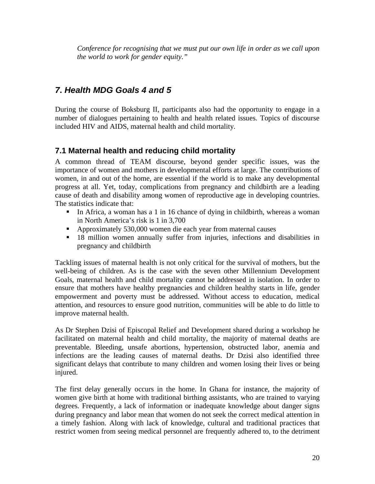*Conference for recognising that we must put our own life in order as we call upon the world to work for gender equity."* 

## *7***.** *Health MDG Goals 4 and 5*

During the course of Boksburg II, participants also had the opportunity to engage in a number of dialogues pertaining to health and health related issues. Topics of discourse included HIV and AIDS, maternal health and child mortality.

## **7.1 Maternal health and reducing child mortality**

A common thread of TEAM discourse, beyond gender specific issues, was the importance of women and mothers in developmental efforts at large. The contributions of women, in and out of the home, are essential if the world is to make any developmental progress at all. Yet, today, complications from pregnancy and childbirth are a leading cause of death and disability among women of reproductive age in developing countries. The statistics indicate that:

- In Africa, a woman has a 1 in 16 chance of dying in childbirth, whereas a woman in North America's risk is 1 in 3,700
- Approximately 530,000 women die each year from maternal causes
- 18 million women annually suffer from injuries, infections and disabilities in pregnancy and childbirth

Tackling issues of maternal health is not only critical for the survival of mothers, but the well-being of children. As is the case with the seven other Millennium Development Goals, maternal health and child mortality cannot be addressed in isolation. In order to ensure that mothers have healthy pregnancies and children healthy starts in life, gender empowerment and poverty must be addressed. Without access to education, medical attention, and resources to ensure good nutrition, communities will be able to do little to improve maternal health.

As Dr Stephen Dzisi of Episcopal Relief and Development shared during a workshop he facilitated on maternal health and child mortality, the majority of maternal deaths are preventable. Bleeding, unsafe abortions, hypertension, obstructed labor, anemia and infections are the leading causes of maternal deaths. Dr Dzisi also identified three significant delays that contribute to many children and women losing their lives or being injured.

The first delay generally occurs in the home. In Ghana for instance, the majority of women give birth at home with traditional birthing assistants, who are trained to varying degrees. Frequently, a lack of information or inadequate knowledge about danger signs during pregnancy and labor mean that women do not seek the correct medical attention in a timely fashion. Along with lack of knowledge, cultural and traditional practices that restrict women from seeing medical personnel are frequently adhered to, to the detriment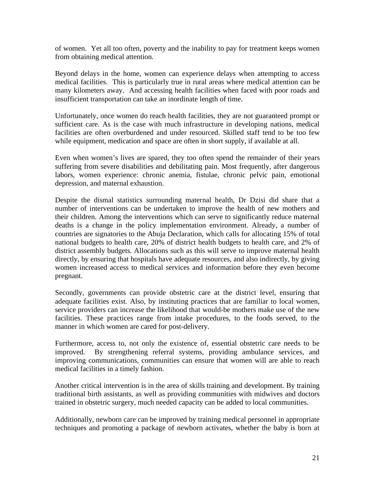of women. Yet all too often, poverty and the inability to pay for treatment keeps women from obtaining medical attention.

Beyond delays in the home, women can experience delays when attempting to access medical facilities. This is particularly true in rural areas where medical attention can be many kilometers away. And accessing health facilities when faced with poor roads and insufficient transportation can take an inordinate length of time.

Unfortunately, once women do reach health facilities, they are not guaranteed prompt or sufficient care. As is the case with much infrastructure in developing nations, medical facilities are often overburdened and under resourced. Skilled staff tend to be too few while equipment, medication and space are often in short supply, if available at all.

Even when women's lives are spared, they too often spend the remainder of their years suffering from severe disabilities and debilitating pain. Most frequently, after dangerous labors, women experience: chronic anemia, fistulae, chronic pelvic pain, emotional depression, and maternal exhaustion.

Despite the dismal statistics surrounding maternal health, Dr Dzisi did share that a number of interventions can be undertaken to improve the health of new mothers and their children. Among the interventions which can serve to significantly reduce maternal deaths is a change in the policy implementation environment. Already, a number of countries are signatories to the Abuja Declaration, which calls for allocating 15% of total national budgets to health care, 20% of district health budgets to health care, and 2% of district assembly budgets. Allocations such as this will serve to improve maternal health directly, by ensuring that hospitals have adequate resources, and also indirectly, by giving women increased access to medical services and information before they even become pregnant.

Secondly, governments can provide obstetric care at the district level, ensuring that adequate facilities exist. Also, by instituting practices that are familiar to local women, service providers can increase the likelihood that would-be mothers make use of the new facilities. These practices range from intake procedures, to the foods served, to the manner in which women are cared for post-delivery.

Furthermore, access to, not only the existence of, essential obstetric care needs to be improved. By strengthening referral systems, providing ambulance services, and improving communications, communities can ensure that women will are able to reach medical facilities in a timely fashion.

Another critical intervention is in the area of skills training and development. By training traditional birth assistants, as well as providing communities with midwives and doctors trained in obstetric surgery, much needed capacity can be added to local communities.

Additionally, newborn care can be improved by training medical personnel in appropriate techniques and promoting a package of newborn activates, whether the baby is born at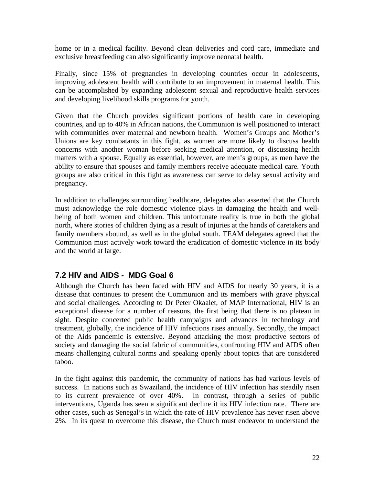home or in a medical facility. Beyond clean deliveries and cord care, immediate and exclusive breastfeeding can also significantly improve neonatal health.

Finally, since 15% of pregnancies in developing countries occur in adolescents, improving adolescent health will contribute to an improvement in maternal health. This can be accomplished by expanding adolescent sexual and reproductive health services and developing livelihood skills programs for youth.

Given that the Church provides significant portions of health care in developing countries, and up to 40% in African nations, the Communion is well positioned to interact with communities over maternal and newborn health. Women's Groups and Mother's Unions are key combatants in this fight, as women are more likely to discuss health concerns with another woman before seeking medical attention, or discussing health matters with a spouse. Equally as essential, however, are men's groups, as men have the ability to ensure that spouses and family members receive adequate medical care. Youth groups are also critical in this fight as awareness can serve to delay sexual activity and pregnancy.

In addition to challenges surrounding healthcare, delegates also asserted that the Church must acknowledge the role domestic violence plays in damaging the health and wellbeing of both women and children. This unfortunate reality is true in both the global north, where stories of children dying as a result of injuries at the hands of caretakers and family members abound, as well as in the global south. TEAM delegates agreed that the Communion must actively work toward the eradication of domestic violence in its body and the world at large.

## **7.2 HIV and AIDS - MDG Goal 6**

Although the Church has been faced with HIV and AIDS for nearly 30 years, it is a disease that continues to present the Communion and its members with grave physical and social challenges. According to Dr Peter Okaalet, of MAP International, HIV is an exceptional disease for a number of reasons, the first being that there is no plateau in sight. Despite concerted public health campaigns and advances in technology and treatment, globally, the incidence of HIV infections rises annually. Secondly, the impact of the Aids pandemic is extensive. Beyond attacking the most productive sectors of society and damaging the social fabric of communities, confronting HIV and AIDS often means challenging cultural norms and speaking openly about topics that are considered taboo.

In the fight against this pandemic, the community of nations has had various levels of success. In nations such as Swaziland, the incidence of HIV infection has steadily risen to its current prevalence of over 40%. In contrast, through a series of public interventions, Uganda has seen a significant decline it its HIV infection rate. There are other cases, such as Senegal's in which the rate of HIV prevalence has never risen above 2%. In its quest to overcome this disease, the Church must endeavor to understand the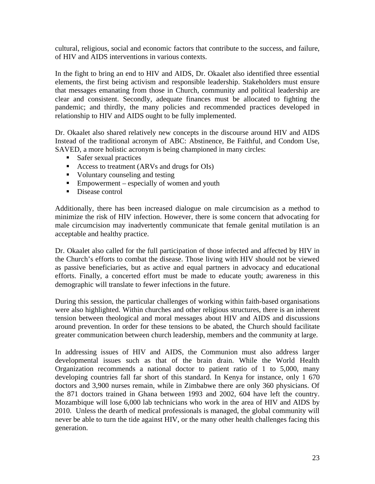cultural, religious, social and economic factors that contribute to the success, and failure, of HIV and AIDS interventions in various contexts.

In the fight to bring an end to HIV and AIDS, Dr. Okaalet also identified three essential elements, the first being activism and responsible leadership. Stakeholders must ensure that messages emanating from those in Church, community and political leadership are clear and consistent. Secondly, adequate finances must be allocated to fighting the pandemic; and thirdly, the many policies and recommended practices developed in relationship to HIV and AIDS ought to be fully implemented.

Dr. Okaalet also shared relatively new concepts in the discourse around HIV and AIDS Instead of the traditional acronym of ABC: Abstinence, Be Faithful, and Condom Use, SAVED, a more holistic acronym is being championed in many circles:

- Safer sexual practices
- Access to treatment (ARVs and drugs for OIs)
- Voluntary counseling and testing
- Empowerment especially of women and youth
- Disease control

Additionally, there has been increased dialogue on male circumcision as a method to minimize the risk of HIV infection. However, there is some concern that advocating for male circumcision may inadvertently communicate that female genital mutilation is an acceptable and healthy practice.

Dr. Okaalet also called for the full participation of those infected and affected by HIV in the Church's efforts to combat the disease. Those living with HIV should not be viewed as passive beneficiaries, but as active and equal partners in advocacy and educational efforts. Finally, a concerted effort must be made to educate youth; awareness in this demographic will translate to fewer infections in the future.

During this session, the particular challenges of working within faith-based organisations were also highlighted. Within churches and other religious structures, there is an inherent tension between theological and moral messages about HIV and AIDS and discussions around prevention. In order for these tensions to be abated, the Church should facilitate greater communication between church leadership, members and the community at large.

In addressing issues of HIV and AIDS, the Communion must also address larger developmental issues such as that of the brain drain. While the World Health Organization recommends a national doctor to patient ratio of 1 to 5,000, many developing countries fall far short of this standard. In Kenya for instance, only 1 670 doctors and 3,900 nurses remain, while in Zimbabwe there are only 360 physicians. Of the 871 doctors trained in Ghana between 1993 and 2002, 604 have left the country. Mozambique will lose 6,000 lab technicians who work in the area of HIV and AIDS by 2010. Unless the dearth of medical professionals is managed, the global community will never be able to turn the tide against HIV, or the many other health challenges facing this generation.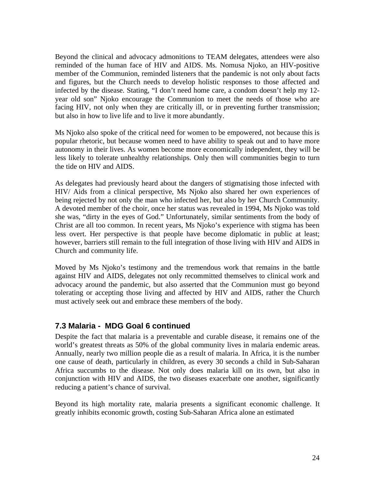Beyond the clinical and advocacy admonitions to TEAM delegates, attendees were also reminded of the human face of HIV and AIDS. Ms. Nomusa Njoko, an HIV-positive member of the Communion, reminded listeners that the pandemic is not only about facts and figures, but the Church needs to develop holistic responses to those affected and infected by the disease. Stating, "I don't need home care, a condom doesn't help my 12 year old son" Njoko encourage the Communion to meet the needs of those who are facing HIV, not only when they are critically ill, or in preventing further transmission; but also in how to live life and to live it more abundantly.

Ms Njoko also spoke of the critical need for women to be empowered, not because this is popular rhetoric, but because women need to have ability to speak out and to have more autonomy in their lives. As women become more economically independent, they will be less likely to tolerate unhealthy relationships. Only then will communities begin to turn the tide on HIV and AIDS.

As delegates had previously heard about the dangers of stigmatising those infected with HIV/ Aids from a clinical perspective, Ms Njoko also shared her own experiences of being rejected by not only the man who infected her, but also by her Church Community. A devoted member of the choir, once her status was revealed in 1994, Ms Njoko was told she was, "dirty in the eyes of God." Unfortunately, similar sentiments from the body of Christ are all too common. In recent years, Ms Njoko's experience with stigma has been less overt. Her perspective is that people have become diplomatic in public at least; however, barriers still remain to the full integration of those living with HIV and AIDS in Church and community life.

Moved by Ms Njoko's testimony and the tremendous work that remains in the battle against HIV and AIDS, delegates not only recommitted themselves to clinical work and advocacy around the pandemic, but also asserted that the Communion must go beyond tolerating or accepting those living and affected by HIV and AIDS, rather the Church must actively seek out and embrace these members of the body.

### **7.3 Malaria - MDG Goal 6 continued**

Despite the fact that malaria is a preventable and curable disease, it remains one of the world's greatest threats as 50% of the global community lives in malaria endemic areas. Annually, nearly two million people die as a result of malaria. In Africa, it is the number one cause of death, particularly in children, as every 30 seconds a child in Sub-Saharan Africa succumbs to the disease. Not only does malaria kill on its own, but also in conjunction with HIV and AIDS, the two diseases exacerbate one another, significantly reducing a patient's chance of survival.

Beyond its high mortality rate, malaria presents a significant economic challenge. It greatly inhibits economic growth, costing Sub-Saharan Africa alone an estimated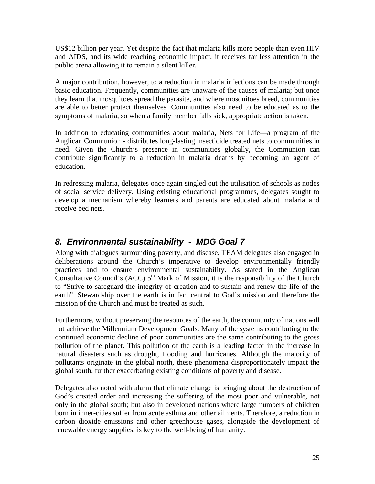US\$12 billion per year. Yet despite the fact that malaria kills more people than even HIV and AIDS, and its wide reaching economic impact, it receives far less attention in the public arena allowing it to remain a silent killer.

A major contribution, however, to a reduction in malaria infections can be made through basic education. Frequently, communities are unaware of the causes of malaria; but once they learn that mosquitoes spread the parasite, and where mosquitoes breed, communities are able to better protect themselves. Communities also need to be educated as to the symptoms of malaria, so when a family member falls sick, appropriate action is taken.

In addition to educating communities about malaria, Nets for Life—a program of the Anglican Communion - distributes long-lasting insecticide treated nets to communities in need. Given the Church's presence in communities globally, the Communion can contribute significantly to a reduction in malaria deaths by becoming an agent of education.

In redressing malaria, delegates once again singled out the utilisation of schools as nodes of social service delivery. Using existing educational programmes, delegates sought to develop a mechanism whereby learners and parents are educated about malaria and receive bed nets.

## *8. Environmental sustainability - MDG Goal 7*

Along with dialogues surrounding poverty, and disease, TEAM delegates also engaged in deliberations around the Church's imperative to develop environmentally friendly practices and to ensure environmental sustainability. As stated in the Anglican Consultative Council's (ACC)  $5<sup>th</sup>$  Mark of Mission, it is the responsibility of the Church to "Strive to safeguard the integrity of creation and to sustain and renew the life of the earth". Stewardship over the earth is in fact central to God's mission and therefore the mission of the Church and must be treated as such.

Furthermore, without preserving the resources of the earth, the community of nations will not achieve the Millennium Development Goals. Many of the systems contributing to the continued economic decline of poor communities are the same contributing to the gross pollution of the planet. This pollution of the earth is a leading factor in the increase in natural disasters such as drought, flooding and hurricanes. Although the majority of pollutants originate in the global north, these phenomena disproportionately impact the global south, further exacerbating existing conditions of poverty and disease.

Delegates also noted with alarm that climate change is bringing about the destruction of God's created order and increasing the suffering of the most poor and vulnerable, not only in the global south; but also in developed nations where large numbers of children born in inner-cities suffer from acute asthma and other ailments. Therefore, a reduction in carbon dioxide emissions and other greenhouse gases, alongside the development of renewable energy supplies, is key to the well-being of humanity.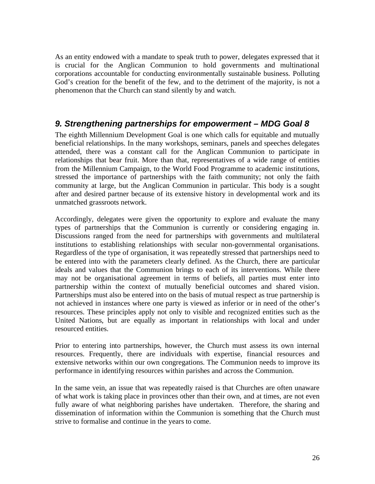As an entity endowed with a mandate to speak truth to power, delegates expressed that it is crucial for the Anglican Communion to hold governments and multinational corporations accountable for conducting environmentally sustainable business. Polluting God's creation for the benefit of the few, and to the detriment of the majority, is not a phenomenon that the Church can stand silently by and watch.

## *9. Strengthening partnerships for empowerment – MDG Goal 8*

The eighth Millennium Development Goal is one which calls for equitable and mutually beneficial relationships. In the many workshops, seminars, panels and speeches delegates attended, there was a constant call for the Anglican Communion to participate in relationships that bear fruit. More than that, representatives of a wide range of entities from the Millennium Campaign, to the World Food Programme to academic institutions, stressed the importance of partnerships with the faith community; not only the faith community at large, but the Anglican Communion in particular. This body is a sought after and desired partner because of its extensive history in developmental work and its unmatched grassroots network.

Accordingly, delegates were given the opportunity to explore and evaluate the many types of partnerships that the Communion is currently or considering engaging in. Discussions ranged from the need for partnerships with governments and multilateral institutions to establishing relationships with secular non-governmental organisations. Regardless of the type of organisation, it was repeatedly stressed that partnerships need to be entered into with the parameters clearly defined. As the Church, there are particular ideals and values that the Communion brings to each of its interventions. While there may not be organisational agreement in terms of beliefs, all parties must enter into partnership within the context of mutually beneficial outcomes and shared vision. Partnerships must also be entered into on the basis of mutual respect as true partnership is not achieved in instances where one party is viewed as inferior or in need of the other's resources. These principles apply not only to visible and recognized entities such as the United Nations, but are equally as important in relationships with local and under resourced entities.

Prior to entering into partnerships, however, the Church must assess its own internal resources. Frequently, there are individuals with expertise, financial resources and extensive networks within our own congregations. The Communion needs to improve its performance in identifying resources within parishes and across the Communion.

In the same vein, an issue that was repeatedly raised is that Churches are often unaware of what work is taking place in provinces other than their own, and at times, are not even fully aware of what neighboring parishes have undertaken. Therefore, the sharing and dissemination of information within the Communion is something that the Church must strive to formalise and continue in the years to come.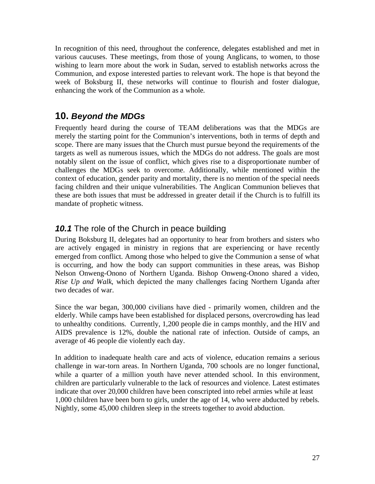In recognition of this need, throughout the conference, delegates established and met in various caucuses. These meetings, from those of young Anglicans, to women, to those wishing to learn more about the work in Sudan, served to establish networks across the Communion, and expose interested parties to relevant work. The hope is that beyond the week of Boksburg II, these networks will continue to flourish and foster dialogue, enhancing the work of the Communion as a whole.

## **10.** *Beyond the MDGs*

Frequently heard during the course of TEAM deliberations was that the MDGs are merely the starting point for the Communion's interventions, both in terms of depth and scope. There are many issues that the Church must pursue beyond the requirements of the targets as well as numerous issues, which the MDGs do not address. The goals are most notably silent on the issue of conflict, which gives rise to a disproportionate number of challenges the MDGs seek to overcome. Additionally, while mentioned within the context of education, gender parity and mortality, there is no mention of the special needs facing children and their unique vulnerabilities. The Anglican Communion believes that these are both issues that must be addressed in greater detail if the Church is to fulfill its mandate of prophetic witness.

## *10.1* The role of the Church in peace building

During Boksburg II, delegates had an opportunity to hear from brothers and sisters who are actively engaged in ministry in regions that are experiencing or have recently emerged from conflict. Among those who helped to give the Communion a sense of what is occurring, and how the body can support communities in these areas, was Bishop Nelson Onweng-Onono of Northern Uganda. Bishop Onweng-Onono shared a video, *Rise Up and Walk*, which depicted the many challenges facing Northern Uganda after two decades of war.

Since the war began, 300,000 civilians have died - primarily women, children and the elderly. While camps have been established for displaced persons, overcrowding has lead to unhealthy conditions. Currently, 1,200 people die in camps monthly, and the HIV and AIDS prevalence is 12%, double the national rate of infection. Outside of camps, an average of 46 people die violently each day.

In addition to inadequate health care and acts of violence, education remains a serious challenge in war-torn areas. In Northern Uganda, 700 schools are no longer functional, while a quarter of a million youth have never attended school. In this environment, children are particularly vulnerable to the lack of resources and violence. Latest estimates indicate that over 20,000 children have been conscripted into rebel armies while at least 1,000 children have been born to girls, under the age of 14, who were abducted by rebels. Nightly, some 45,000 children sleep in the streets together to avoid abduction.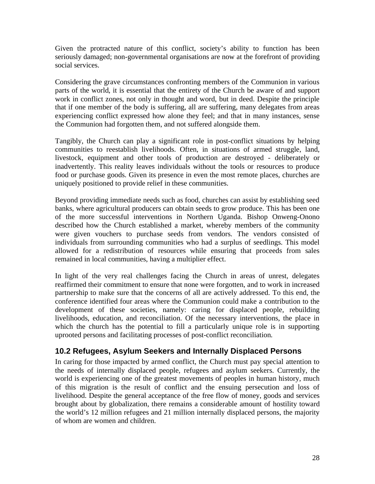Given the protracted nature of this conflict, society's ability to function has been seriously damaged; non-governmental organisations are now at the forefront of providing social services.

Considering the grave circumstances confronting members of the Communion in various parts of the world, it is essential that the entirety of the Church be aware of and support work in conflict zones, not only in thought and word, but in deed. Despite the principle that if one member of the body is suffering, all are suffering, many delegates from areas experiencing conflict expressed how alone they feel; and that in many instances, sense the Communion had forgotten them, and not suffered alongside them.

Tangibly, the Church can play a significant role in post-conflict situations by helping communities to reestablish livelihoods. Often, in situations of armed struggle, land, livestock, equipment and other tools of production are destroyed - deliberately or inadvertently. This reality leaves individuals without the tools or resources to produce food or purchase goods. Given its presence in even the most remote places, churches are uniquely positioned to provide relief in these communities.

Beyond providing immediate needs such as food, churches can assist by establishing seed banks, where agricultural producers can obtain seeds to grow produce. This has been one of the more successful interventions in Northern Uganda. Bishop Onweng-Onono described how the Church established a market, whereby members of the community were given vouchers to purchase seeds from vendors. The vendors consisted of individuals from surrounding communities who had a surplus of seedlings. This model allowed for a redistribution of resources while ensuring that proceeds from sales remained in local communities, having a multiplier effect.

In light of the very real challenges facing the Church in areas of unrest, delegates reaffirmed their commitment to ensure that none were forgotten, and to work in increased partnership to make sure that the concerns of all are actively addressed. To this end, the conference identified four areas where the Communion could make a contribution to the development of these societies, namely: caring for displaced people, rebuilding livelihoods, education, and reconciliation. Of the necessary interventions, the place in which the church has the potential to fill a particularly unique role is in supporting uprooted persons and facilitating processes of post-conflict reconciliation.

### **10.2 Refugees, Asylum Seekers and Internally Displaced Persons**

In caring for those impacted by armed conflict, the Church must pay special attention to the needs of internally displaced people, refugees and asylum seekers. Currently, the world is experiencing one of the greatest movements of peoples in human history, much of this migration is the result of conflict and the ensuing persecution and loss of livelihood. Despite the general acceptance of the free flow of money, goods and services brought about by globalization, there remains a considerable amount of hostility toward the world's 12 million refugees and 21 million internally displaced persons, the majority of whom are women and children.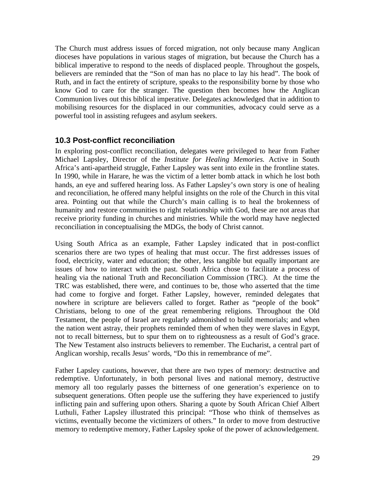The Church must address issues of forced migration, not only because many Anglican dioceses have populations in various stages of migration, but because the Church has a biblical imperative to respond to the needs of displaced people. Throughout the gospels, believers are reminded that the "Son of man has no place to lay his head". The book of Ruth, and in fact the entirety of scripture, speaks to the responsibility borne by those who know God to care for the stranger. The question then becomes how the Anglican Communion lives out this biblical imperative. Delegates acknowledged that in addition to mobilising resources for the displaced in our communities, advocacy could serve as a powerful tool in assisting refugees and asylum seekers.

### **10.3 Post-conflict reconciliation**

In exploring post-conflict reconciliation, delegates were privileged to hear from Father Michael Lapsley, Director of the *Institute for Healing Memories.* Active in South Africa's anti-apartheid struggle, Father Lapsley was sent into exile in the frontline states. In 1990, while in Harare, he was the victim of a letter bomb attack in which he lost both hands, an eye and suffered hearing loss. As Father Lapsley's own story is one of healing and reconciliation, he offered many helpful insights on the role of the Church in this vital area. Pointing out that while the Church's main calling is to heal the brokenness of humanity and restore communities to right relationship with God, these are not areas that receive priority funding in churches and ministries. While the world may have neglected reconciliation in conceptualising the MDGs, the body of Christ cannot.

Using South Africa as an example, Father Lapsley indicated that in post-conflict scenarios there are two types of healing that must occur. The first addresses issues of food, electricity, water and education; the other, less tangible but equally important are issues of how to interact with the past. South Africa chose to facilitate a process of healing via the national Truth and Reconciliation Commission (TRC). At the time the TRC was established, there were, and continues to be, those who asserted that the time had come to forgive and forget. Father Lapsley, however, reminded delegates that nowhere in scripture are believers called to forget. Rather as "people of the book" Christians, belong to one of the great remembering religions. Throughout the Old Testament, the people of Israel are regularly admonished to build memorials; and when the nation went astray, their prophets reminded them of when they were slaves in Egypt, not to recall bitterness, but to spur them on to righteousness as a result of God's grace. The New Testament also instructs believers to remember. The Eucharist, a central part of Anglican worship, recalls Jesus' words, "Do this in remembrance of me".

Father Lapsley cautions, however, that there are two types of memory: destructive and redemptive. Unfortunately, in both personal lives and national memory, destructive memory all too regularly passes the bitterness of one generation's experience on to subsequent generations. Often people use the suffering they have experienced to justify inflicting pain and suffering upon others. Sharing a quote by South African Chief Albert Luthuli, Father Lapsley illustrated this principal: "Those who think of themselves as victims, eventually become the victimizers of others." In order to move from destructive memory to redemptive memory, Father Lapsley spoke of the power of acknowledgement.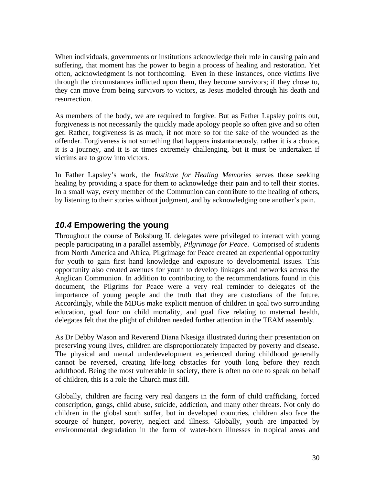When individuals, governments or institutions acknowledge their role in causing pain and suffering, that moment has the power to begin a process of healing and restoration. Yet often, acknowledgment is not forthcoming. Even in these instances, once victims live through the circumstances inflicted upon them, they become survivors; if they chose to, they can move from being survivors to victors, as Jesus modeled through his death and resurrection.

As members of the body, we are required to forgive. But as Father Lapsley points out, forgiveness is not necessarily the quickly made apology people so often give and so often get. Rather, forgiveness is as much, if not more so for the sake of the wounded as the offender. Forgiveness is not something that happens instantaneously, rather it is a choice, it is a journey, and it is at times extremely challenging, but it must be undertaken if victims are to grow into victors.

In Father Lapsley's work, the *Institute for Healing Memories* serves those seeking healing by providing a space for them to acknowledge their pain and to tell their stories. In a small way, every member of the Communion can contribute to the healing of others, by listening to their stories without judgment, and by acknowledging one another's pain.

## *10.4* **Empowering the young**

Throughout the course of Boksburg II, delegates were privileged to interact with young people participating in a parallel assembly, *Pilgrimage for Peace*. Comprised of students from North America and Africa, Pilgrimage for Peace created an experiential opportunity for youth to gain first hand knowledge and exposure to developmental issues. This opportunity also created avenues for youth to develop linkages and networks across the Anglican Communion. In addition to contributing to the recommendations found in this document, the Pilgrims for Peace were a very real reminder to delegates of the importance of young people and the truth that they are custodians of the future. Accordingly, while the MDGs make explicit mention of children in goal two surrounding education, goal four on child mortality, and goal five relating to maternal health, delegates felt that the plight of children needed further attention in the TEAM assembly.

As Dr Debby Wason and Reverend Diana Nkesiga illustrated during their presentation on preserving young lives, children are disproportionately impacted by poverty and disease. The physical and mental underdevelopment experienced during childhood generally cannot be reversed, creating life-long obstacles for youth long before they reach adulthood. Being the most vulnerable in society, there is often no one to speak on behalf of children, this is a role the Church must fill.

Globally, children are facing very real dangers in the form of child trafficking, forced conscription, gangs, child abuse, suicide, addiction, and many other threats. Not only do children in the global south suffer, but in developed countries, children also face the scourge of hunger, poverty, neglect and illness. Globally, youth are impacted by environmental degradation in the form of water-born illnesses in tropical areas and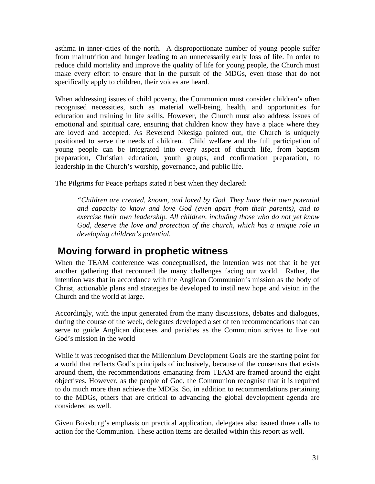asthma in inner-cities of the north. A disproportionate number of young people suffer from malnutrition and hunger leading to an unnecessarily early loss of life. In order to reduce child mortality and improve the quality of life for young people, the Church must make every effort to ensure that in the pursuit of the MDGs, even those that do not specifically apply to children, their voices are heard.

When addressing issues of child poverty, the Communion must consider children's often recognised necessities, such as material well-being, health, and opportunities for education and training in life skills. However, the Church must also address issues of emotional and spiritual care, ensuring that children know they have a place where they are loved and accepted. As Reverend Nkesiga pointed out, the Church is uniquely positioned to serve the needs of children. Child welfare and the full participation of young people can be integrated into every aspect of church life, from baptism preparation, Christian education, youth groups, and confirmation preparation, to leadership in the Church's worship, governance, and public life.

The Pilgrims for Peace perhaps stated it best when they declared:

*"Children are created, known, and loved by God. They have their own potential and capacity to know and love God (even apart from their parents), and to exercise their own leadership. All children, including those who do not yet know God, deserve the love and protection of the church, which has a unique role in developing children's potential.* 

## **Moving forward in prophetic witness**

When the TEAM conference was conceptualised, the intention was not that it be yet another gathering that recounted the many challenges facing our world. Rather, the intention was that in accordance with the Anglican Communion's mission as the body of Christ, actionable plans and strategies be developed to instil new hope and vision in the Church and the world at large.

Accordingly, with the input generated from the many discussions, debates and dialogues, during the course of the week, delegates developed a set of ten recommendations that can serve to guide Anglican dioceses and parishes as the Communion strives to live out God's mission in the world

While it was recognised that the Millennium Development Goals are the starting point for a world that reflects God's principals of inclusively, because of the consensus that exists around them, the recommendations emanating from TEAM are framed around the eight objectives. However, as the people of God, the Communion recognise that it is required to do much more than achieve the MDGs. So, in addition to recommendations pertaining to the MDGs, others that are critical to advancing the global development agenda are considered as well.

Given Boksburg's emphasis on practical application, delegates also issued three calls to action for the Communion. These action items are detailed within this report as well.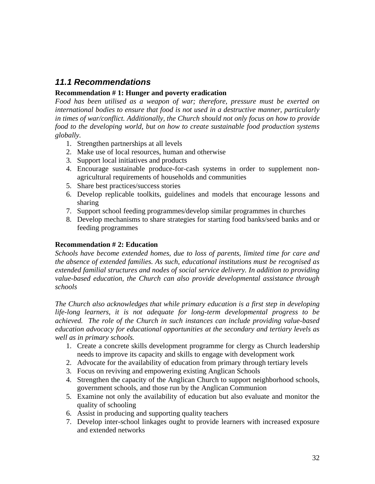## *11.1 Recommendations*

### **Recommendation # 1: Hunger and poverty eradication**

*Food has been utilised as a weapon of war; therefore, pressure must be exerted on international bodies to ensure that food is not used in a destructive manner, particularly in times of war/conflict. Additionally, the Church should not only focus on how to provide food to the developing world, but on how to create sustainable food production systems globally.* 

- 1. Strengthen partnerships at all levels
- 2. Make use of local resources, human and otherwise
- 3. Support local initiatives and products
- 4. Encourage sustainable produce-for-cash systems in order to supplement nonagricultural requirements of households and communities
- 5. Share best practices/success stories
- 6. Develop replicable toolkits, guidelines and models that encourage lessons and sharing
- 7. Support school feeding programmes/develop similar programmes in churches
- 8. Develop mechanisms to share strategies for starting food banks/seed banks and or feeding programmes

### **Recommendation # 2: Education**

*Schools have become extended homes, due to loss of parents, limited time for care and the absence of extended families. As such, educational institutions must be recognised as extended familial structures and nodes of social service delivery. In addition to providing value-based education, the Church can also provide developmental assistance through schools* 

*The Church also acknowledges that while primary education is a first step in developing life-long learners, it is not adequate for long-term developmental progress to be achieved. The role of the Church in such instances can include providing value-based education advocacy for educational opportunities at the secondary and tertiary levels as well as in primary schools.*

- 1. Create a concrete skills development programme for clergy as Church leadership needs to improve its capacity and skills to engage with development work
- 2. Advocate for the availability of education from primary through tertiary levels
- 3. Focus on reviving and empowering existing Anglican Schools
- 4. Strengthen the capacity of the Anglican Church to support neighborhood schools, government schools, and those run by the Anglican Communion
- 5. Examine not only the availability of education but also evaluate and monitor the quality of schooling
- 6. Assist in producing and supporting quality teachers
- 7. Develop inter-school linkages ought to provide learners with increased exposure and extended networks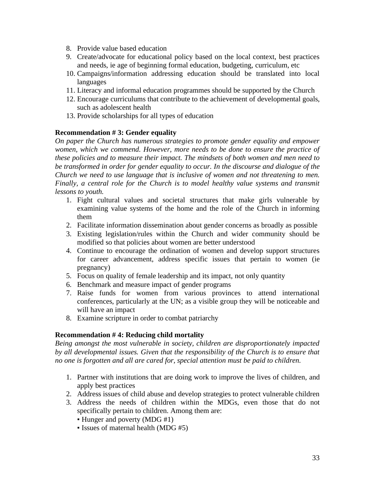- 8. Provide value based education
- 9. Create/advocate for educational policy based on the local context, best practices and needs, ie age of beginning formal education, budgeting, curriculum, etc
- 10. Campaigns/information addressing education should be translated into local languages
- 11. Literacy and informal education programmes should be supported by the Church
- 12. Encourage curriculums that contribute to the achievement of developmental goals, such as adolescent health
- 13. Provide scholarships for all types of education

### **Recommendation # 3: Gender equality**

*On paper the Church has numerous strategies to promote gender equality and empower women, which we commend. However, more needs to be done to ensure the practice of these policies and to measure their impact. The mindsets of both women and men need to be transformed in order for gender equality to occur. In the discourse and dialogue of the Church we need to use language that is inclusive of women and not threatening to men. Finally, a central role for the Church is to model healthy value systems and transmit lessons to youth.*

- 1. Fight cultural values and societal structures that make girls vulnerable by examining value systems of the home and the role of the Church in informing them
- 2. Facilitate information dissemination about gender concerns as broadly as possible
- 3. Existing legislation/rules within the Church and wider community should be modified so that policies about women are better understood
- 4. Continue to encourage the ordination of women and develop support structures for career advancement, address specific issues that pertain to women (ie pregnancy)
- 5. Focus on quality of female leadership and its impact, not only quantity
- 6. Benchmark and measure impact of gender programs
- 7. Raise funds for women from various provinces to attend international conferences, particularly at the UN; as a visible group they will be noticeable and will have an impact
- 8. Examine scripture in order to combat patriarchy

### **Recommendation # 4: Reducing child mortality**

*Being amongst the most vulnerable in society, children are disproportionately impacted by all developmental issues. Given that the responsibility of the Church is to ensure that no one is forgotten and all are cared for, special attention must be paid to children.* 

- 1. Partner with institutions that are doing work to improve the lives of children, and apply best practices
- 2. Address issues of child abuse and develop strategies to protect vulnerable children
- 3. Address the needs of children within the MDGs, even those that do not specifically pertain to children. Among them are:
	- Hunger and poverty (MDG #1)
	- Issues of maternal health (MDG #5)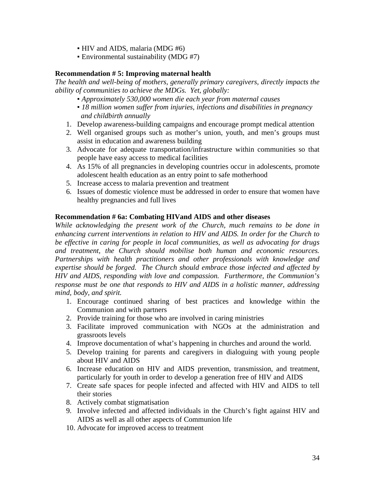- HIV and AIDS, malaria (MDG #6)
- Environmental sustainability (MDG #7)

#### **Recommendation # 5: Improving maternal health**

*The health and well-being of mothers, generally primary caregivers, directly impacts the ability of communities to achieve the MDGs. Yet, globally:* 

- *Approximately 530,000 women die each year from maternal causes*
- *18 million women suffer from injuries, infections and disabilities in pregnancy and childbirth annually*
- 1. Develop awareness-building campaigns and encourage prompt medical attention
- 2. Well organised groups such as mother's union, youth, and men's groups must assist in education and awareness building
- 3. Advocate for adequate transportation/infrastructure within communities so that people have easy access to medical facilities
- 4. As 15% of all pregnancies in developing countries occur in adolescents, promote adolescent health education as an entry point to safe motherhood
- 5. Increase access to malaria prevention and treatment
- 6. Issues of domestic violence must be addressed in order to ensure that women have healthy pregnancies and full lives

#### **Recommendation # 6a: Combating HIVand AIDS and other diseases**

*While acknowledging the present work of the Church, much remains to be done in enhancing current interventions in relation to HIV and AIDS. In order for the Church to be effective in caring for people in local communities, as well as advocating for drugs and treatment, the Church should mobilise both human and economic resources. Partnerships with health practitioners and other professionals with knowledge and expertise should be forged. The Church should embrace those infected and affected by HIV and AIDS, responding with love and compassion. Furthermore, the Communion's response must be one that responds to HIV and AIDS in a holistic manner, addressing mind, body, and spirit.* 

- 1. Encourage continued sharing of best practices and knowledge within the Communion and with partners
- 2. Provide training for those who are involved in caring ministries
- 3. Facilitate improved communication with NGOs at the administration and grassroots levels
- 4. Improve documentation of what's happening in churches and around the world.
- 5. Develop training for parents and caregivers in dialoguing with young people about HIV and AIDS
- 6. Increase education on HIV and AIDS prevention, transmission, and treatment, particularly for youth in order to develop a generation free of HIV and AIDS
- 7. Create safe spaces for people infected and affected with HIV and AIDS to tell their stories
- 8. Actively combat stigmatisation
- 9. Involve infected and affected individuals in the Church's fight against HIV and AIDS as well as all other aspects of Communion life
- 10. Advocate for improved access to treatment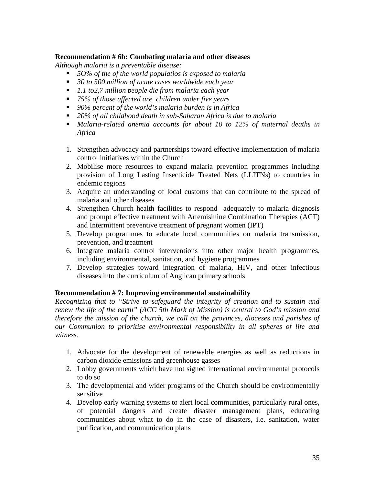#### **Recommendation # 6b: Combating malaria and other diseases**

*Although malaria is a preventable disease:* 

- *5O% of the of the world populatios is exposed to malaria*
- *30 to 500 million of acute cases worldwide each year*
- *1.1 to2,7 million people die from malaria each year*
- *75% of those affected are children under five years*
- *90% percent of the world's malaria burden is in Africa*
- *20% of all childhood death in sub-Saharan Africa is due to malaria*
- *Malaria-related anemia accounts for about 10 to 12% of maternal deaths in Africa*
- 1. Strengthen advocacy and partnerships toward effective implementation of malaria control initiatives within the Church
- 2. Mobilise more resources to expand malaria prevention programmes including provision of Long Lasting Insecticide Treated Nets (LLITNs) to countries in endemic regions
- 3. Acquire an understanding of local customs that can contribute to the spread of malaria and other diseases
- 4. Strengthen Church health facilities to respond adequately to malaria diagnosis and prompt effective treatment with Artemisinine Combination Therapies (ACT) and Intermittent preventive treatment of pregnant women (IPT)
- 5. Develop programmes to educate local communities on malaria transmission, prevention, and treatment
- 6. Integrate malaria control interventions into other major health programmes, including environmental, sanitation, and hygiene programmes
- 7. Develop strategies toward integration of malaria, HIV, and other infectious diseases into the curriculum of Anglican primary schools

#### **Recommendation # 7: Improving environmental sustainability**

*Recognizing that to "Strive to safeguard the integrity of creation and to sustain and renew the life of the earth" (ACC 5th Mark of Mission) is central to God's mission and therefore the mission of the church, we call on the provinces, dioceses and parishes of our Communion to prioritise environmental responsibility in all spheres of life and witness.* 

- 1. Advocate for the development of renewable energies as well as reductions in carbon dioxide emissions and greenhouse gasses
- 2. Lobby governments which have not signed international environmental protocols to do so
- 3. The developmental and wider programs of the Church should be environmentally sensitive
- 4. Develop early warning systems to alert local communities, particularly rural ones, of potential dangers and create disaster management plans, educating communities about what to do in the case of disasters, i.e. sanitation, water purification, and communication plans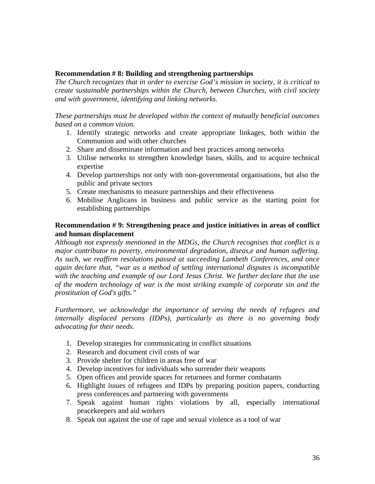#### **Recommendation # 8: Building and strengthening partnerships**

*The Church recognizes that in order to exercise God's mission in society, it is critical to create sustainable partnerships within the Church, between Churches, with civil society and with government, identifying and linking networks.* 

*These partnerships must be developed within the context of mutually beneficial outcomes based on a common vision.*

- 1. Identify strategic networks and create appropriate linkages, both within the Communion and with other churches
- 2. Share and disseminate information and best practices among networks
- 3. Utilise networks to strengthen knowledge bases, skills, and to acquire technical expertise
- 4. Develop partnerships not only with non-governmental organisations, but also the public and private sectors
- 5. Create mechanisms to measure partnerships and their effectiveness
- 6. Mobilise Anglicans in business and public service as the starting point for establishing partnerships

#### **Recommendation # 9: Strengthening peace and justice initiatives in areas of conflict and human displacement**

*Although not expressly mentioned in the MDGs, the Church recognises that conflict is a major contributor to poverty, environmental degradation, diseas,e and human suffering. As such, we reaffirm resolutions passed at succeeding Lambeth Conferences, and once again declare that, "war as a method of settling international disputes is incompatible with the teaching and example of our Lord Jesus Christ. We further declare that the use of the modern technology of war is the most striking example of corporate sin and the prostitution of God's gifts."* 

*Furthermore, we acknowledge the importance of serving the needs of refugees and internally displaced persons (IDPs), particularly as there is no governing body advocating for their needs.* 

- 1. Develop strategies for communicating in conflict situations
- 2. Research and document civil costs of war
- 3. Provide shelter for children in areas free of war
- 4. Develop incentives for individuals who surrender their weapons
- 5. Open offices and provide spaces for returnees and former combatants
- 6. Highlight issues of refugees and IDPs by preparing position papers, conducting press conferences and partnering with governments
- 7. Speak against human rights violations by all, especially international peacekeepers and aid workers
- 8. Speak out against the use of rape and sexual violence as a tool of war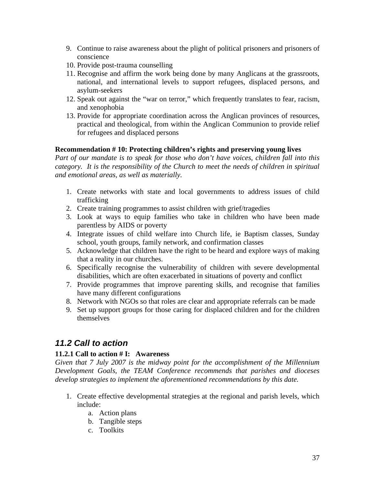- 9. Continue to raise awareness about the plight of political prisoners and prisoners of conscience
- 10. Provide post-trauma counselling
- 11. Recognise and affirm the work being done by many Anglicans at the grassroots, national, and international levels to support refugees, displaced persons, and asylum-seekers
- 12. Speak out against the "war on terror," which frequently translates to fear, racism, and xenophobia
- 13. Provide for appropriate coordination across the Anglican provinces of resources, practical and theological, from within the Anglican Communion to provide relief for refugees and displaced persons

#### **Recommendation # 10: Protecting children's rights and preserving young lives**

*Part of our mandate is to speak for those who don't have voices, children fall into this category. It is the responsibility of the Church to meet the needs of children in spiritual and emotional areas, as well as materially.* 

- 1. Create networks with state and local governments to address issues of child trafficking
- 2. Create training programmes to assist children with grief/tragedies
- 3. Look at ways to equip families who take in children who have been made parentless by AIDS or poverty
- 4. Integrate issues of child welfare into Church life, ie Baptism classes, Sunday school, youth groups, family network, and confirmation classes
- 5. Acknowledge that children have the right to be heard and explore ways of making that a reality in our churches.
- 6. Specifically recognise the vulnerability of children with severe developmental disabilities, which are often exacerbated in situations of poverty and conflict
- 7. Provide programmes that improve parenting skills, and recognise that families have many different configurations
- 8. Network with NGOs so that roles are clear and appropriate referrals can be made
- 9. Set up support groups for those caring for displaced children and for the children themselves

## *11.2 Call to action*

### **11.2.1 Call to action # I: Awareness**

*Given that 7 July 2007 is the midway point for the accomplishment of the Millennium Development Goals, the TEAM Conference recommends that parishes and dioceses develop strategies to implement the aforementioned recommendations by this date.* 

- 1. Create effective developmental strategies at the regional and parish levels, which include:
	- a. Action plans
	- b. Tangible steps
	- c. Toolkits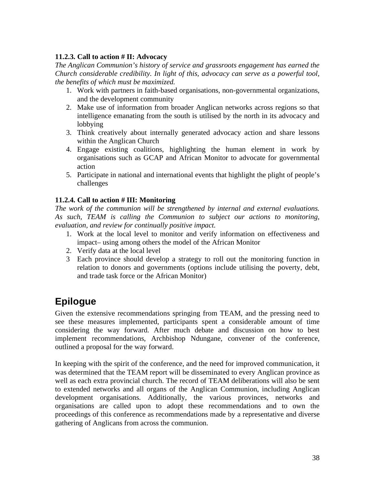### **11.2.3. Call to action # II: Advocacy**

*The Anglican Communion's history of service and grassroots engagement has earned the Church considerable credibility. In light of this, advocacy can serve as a powerful tool, the benefits of which must be maximized.* 

- 1. Work with partners in faith-based organisations, non-governmental organizations, and the development community
- 2. Make use of information from broader Anglican networks across regions so that intelligence emanating from the south is utilised by the north in its advocacy and lobbying
- 3. Think creatively about internally generated advocacy action and share lessons within the Anglican Church
- 4. Engage existing coalitions, highlighting the human element in work by organisations such as GCAP and African Monitor to advocate for governmental action
- 5. Participate in national and international events that highlight the plight of people's challenges

### **11.2.4. Call to action # III: Monitoring**

*The work of the communion will be strengthened by internal and external evaluations. As such, TEAM is calling the Communion to subject our actions to monitoring, evaluation, and review for continually positive impact.*

- 1. Work at the local level to monitor and verify information on effectiveness and impact– using among others the model of the African Monitor
- 2. Verify data at the local level
- 3 Each province should develop a strategy to roll out the monitoring function in relation to donors and governments (options include utilising the poverty, debt, and trade task force or the African Monitor)

# **Epilogue**

Given the extensive recommendations springing from TEAM, and the pressing need to see these measures implemented, participants spent a considerable amount of time considering the way forward. After much debate and discussion on how to best implement recommendations, Archbishop Ndungane, convener of the conference, outlined a proposal for the way forward.

In keeping with the spirit of the conference, and the need for improved communication, it was determined that the TEAM report will be disseminated to every Anglican province as well as each extra provincial church. The record of TEAM deliberations will also be sent to extended networks and all organs of the Anglican Communion, including Anglican development organisations. Additionally, the various provinces, networks and organisations are called upon to adopt these recommendations and to own the proceedings of this conference as recommendations made by a representative and diverse gathering of Anglicans from across the communion.